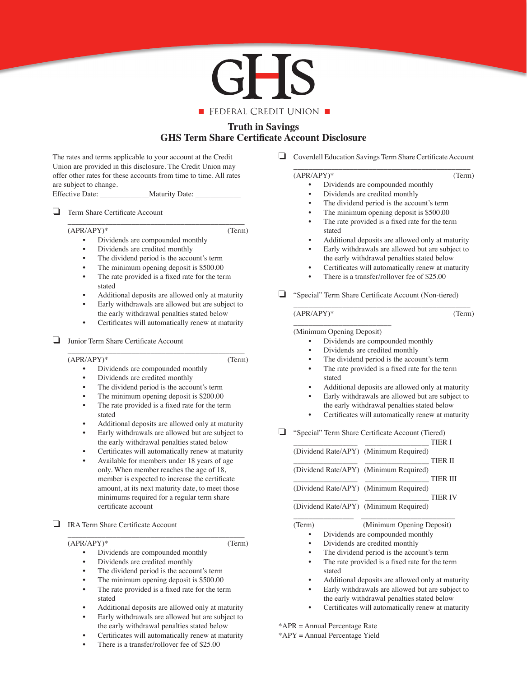

# **Truth in Savings GHS Term Share Certificate Account Disclosure**

The rates and terms applicable to your account at the Credit Union are provided in this disclosure. The Credit Union may offer other rates for these accounts from time to time. All rates are subject to change.

Effective Date: \_\_\_\_\_\_\_\_\_\_\_\_\_\_Maturity Date: \_\_\_\_

**□** Term Share Certificate Account

# (APR/APY)\* (Term)

- Dividends are compounded monthly
- Dividends are credited monthly

\_\_\_\_\_\_\_\_\_\_\_\_\_\_\_\_\_\_\_\_\_\_\_\_\_\_\_\_\_\_\_\_\_\_\_\_\_\_\_\_\_\_\_\_\_\_\_

- The dividend period is the account's term
- The minimum opening deposit is \$500.00 The rate provided is a fixed rate for the term stated
- Additional deposits are allowed only at maturity
- Early withdrawals are allowed but are subject to the early withdrawal penalties stated below
- Certificates will automatically renew at maturity

## $\Box$  Junior Term Share Certificate Account

 \_\_\_\_\_\_\_\_\_\_\_\_\_\_\_\_\_\_\_\_\_\_\_\_\_\_\_\_\_\_\_\_\_\_\_\_\_\_\_\_\_\_\_\_\_\_\_ (APR/APY)\* (Term)

- Dividends are compounded monthly
- Dividends are credited monthly
- The dividend period is the account's term
- The minimum opening deposit is \$200.00
- The rate provided is a fixed rate for the term stated
- Additional deposits are allowed only at maturity
- Early withdrawals are allowed but are subject to the early withdrawal penalties stated below
- Certificates will automatically renew at maturity
- Available for members under 18 years of age only. When member reaches the age of 18, member is expected to increase the certificate amount, at its next maturity date, to meet those minimums required for a regular term share certificate account
- **□** IRA Term Share Certificate Account

 $(APR/APY)*$  (Term)

• Dividends are compounded monthly

\_\_\_\_\_\_\_\_\_\_\_\_\_\_\_\_\_\_\_\_\_\_\_\_\_\_\_\_\_\_\_\_\_\_\_\_\_\_\_\_\_\_\_\_\_\_\_

- Dividends are credited monthly
- The dividend period is the account's term
- The minimum opening deposit is \$500.00
- The rate provided is a fixed rate for the term stated
- Additional deposits are allowed only at maturity
- Early withdrawals are allowed but are subject to the early withdrawal penalties stated below
- Certificates will automatically renew at maturity
- There is a transfer/rollover fee of \$25.00

□ Coverdell Education Savings Term Share Certificate Account \_\_\_\_\_\_\_\_\_\_\_\_\_\_\_\_\_\_\_\_\_\_\_\_\_\_\_\_\_\_\_\_\_\_\_\_\_\_\_\_\_\_\_\_\_\_\_

#### $(APR/APY)*$  (Term)

- Dividends are compounded monthly
- Dividends are credited monthly
- The dividend period is the account's term
- The minimum opening deposit is  $$500.00$
- The rate provided is a fixed rate for the term stated
- Additional deposits are allowed only at maturity
- Early withdrawals are allowed but are subject to the early withdrawal penalties stated below
- Certificates will automatically renew at maturity
- There is a transfer/rollover fee of \$25.00
- □ "Special" Term Share Certificate Account (Non-tiered) \_\_\_\_\_\_\_\_\_\_\_\_\_\_\_\_\_\_\_\_\_\_\_\_\_\_\_\_\_\_\_\_\_\_\_\_\_\_\_\_\_\_\_\_\_\_\_

### (APR/APY)\* (Term)

#### $\frac{1}{2}$  , and the set of the set of the set of the set of the set of the set of the set of the set of the set of the set of the set of the set of the set of the set of the set of the set of the set of the set of the set (Minimum Opening Deposit)

- Dividends are compounded monthly
- Dividends are credited monthly
- The dividend period is the account's term
- The rate provided is a fixed rate for the term stated
- Additional deposits are allowed only at maturity
- Early withdrawals are allowed but are subject to the early withdrawal penalties stated below
- Certificates will automatically renew at maturity
- □ "Special" Term Share Certificate Account (Tiered)

|        | <b>TIER I</b>                             |
|--------|-------------------------------------------|
|        | (Dividend Rate/APY) (Minimum Required)    |
|        | <b>TIER II</b>                            |
|        | (Dividend Rate/APY) (Minimum Required)    |
|        | <b>TIER III</b>                           |
|        | (Dividend Rate/APY) (Minimum Required)    |
|        | <b>TIER IV</b>                            |
|        | (Dividend Rate/APY) (Minimum Required)    |
| (Term) | (Minimum Opening Deposit)                 |
|        | Dividends are compounded monthly          |
|        | Dividends are credited monthly            |
|        | The dividend period is the account's term |

- The rate provided is a fixed rate for the term stated
- Additional deposits are allowed only at maturity
- Early withdrawals are allowed but are subject to the early withdrawal penalties stated below
- Certificates will automatically renew at maturity

\*APR = Annual Percentage Rate

\*APY = Annual Percentage Yield

- 
-